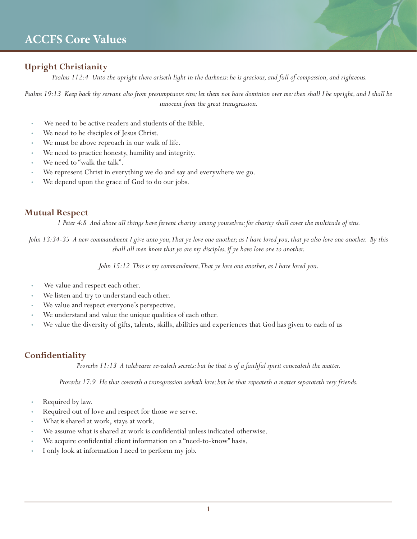## **Upright Christianity**

 *Psalms 112:4 Unto the upright there ariseth light in the darkness: he is gracious, and full of compassion, and righteous.* 

*Psalms 19:13 Keep back thy servant also from presumptuous sins; let them not have dominion over me: then shall I be upright, and I shall be innocent from the great transgression.*

- We need to be active readers and students of the Bible.
- We need to be disciples of Jesus Christ.
- We must be above reproach in our walk of life.
- We need to practice honesty, humility and integrity.
- We need to "walk the talk".
- We represent Christ in everything we do and say and everywhere we go.
- We depend upon the grace of God to do our jobs.

### **Mutual Respect**

*1 Peter 4:8 And above all things have fervent charity among yourselves: for charity shall cover the multitude of sins.* 

*John 13:34-35 A new commandment I give unto you, That ye love one another; as I have loved you, that ye also love one another. By this shall all men know that ye are my disciples, if ye have love one to another.* 

*John 15:12 This is my commandment, That ye love one another, as I have loved you.*

- We value and respect each other.
- We listen and try to understand each other.
- We value and respect everyone's perspective.
- We understand and value the unique qualities of each other.
- We value the diversity of gifts, talents, skills, abilities and experiences that God has given to each of us

## **Confidentiality**

*Proverbs 11:13 A talebearer revealeth secrets: but he that is of a faithful spirit concealeth the matter.* 

*Proverbs 17:9 He that covereth a transgression seeketh love; but he that repeateth a matter separateth very friends.* 

- Required by law.
- Required out of love and respect for those we serve.
- What is shared at work, stays at work.
- We assume what is shared at work is confidential unless indicated otherwise.
- We acquire confidential client information on a "need-to-know" basis.
- I only look at information I need to perform my job.